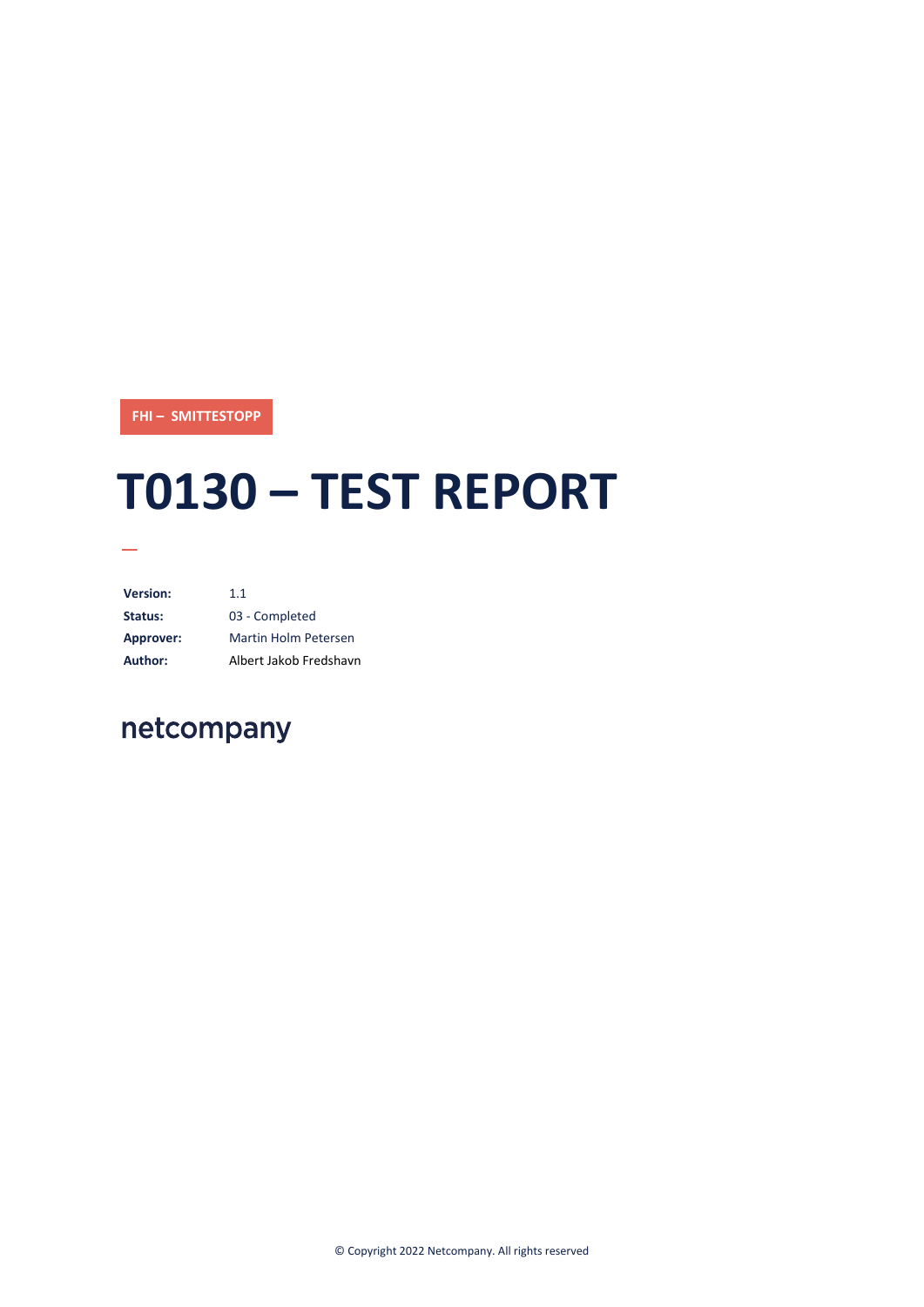**FHI – SMITTESTOPP**

# **T0130 – TEST REPORT**

**Version:** 1.1 **Status:** 03 - Completed **Approver:** Martin Holm Petersen **Author:** Albert Jakob Fredshavn

# netcompany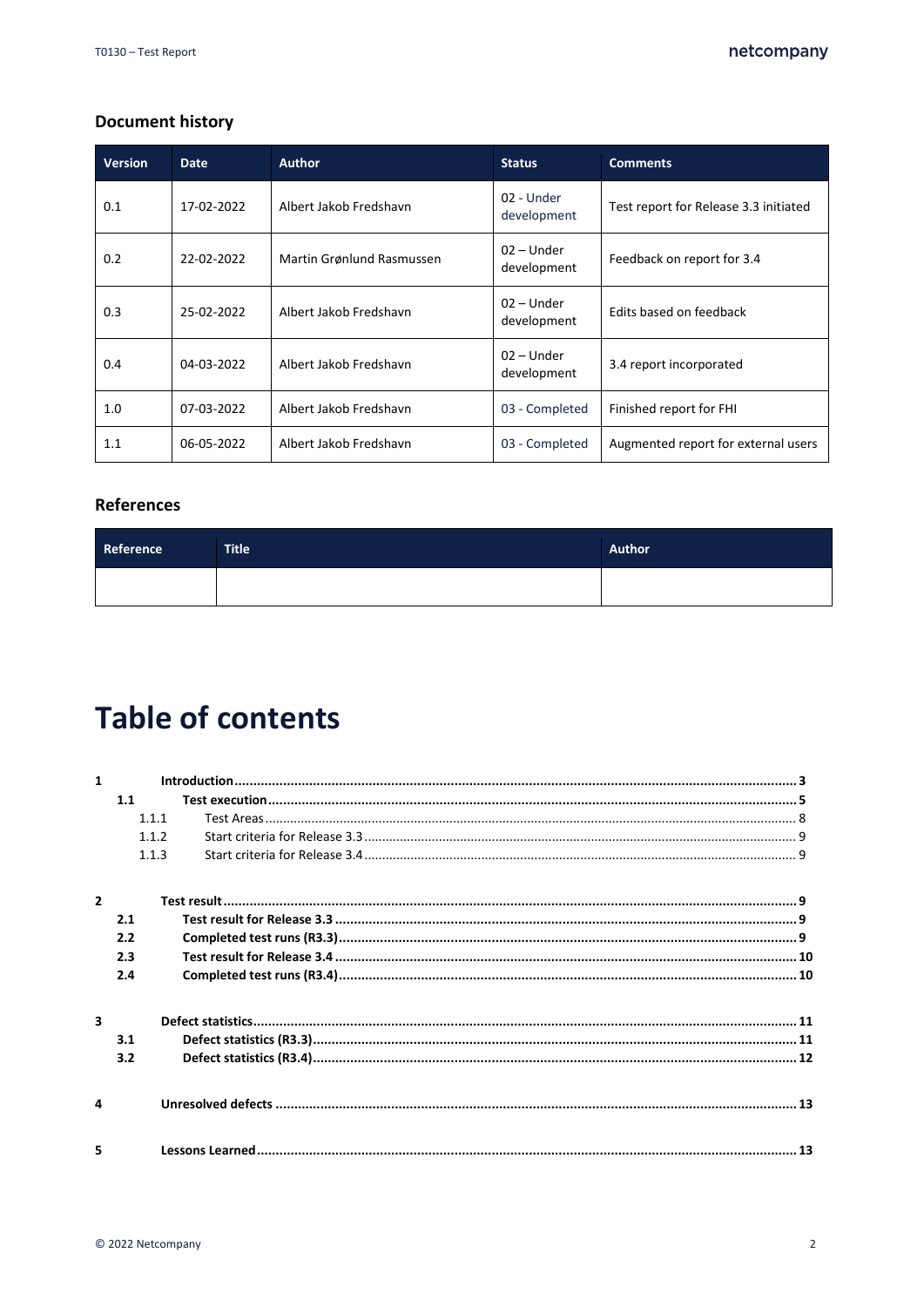#### **Document history**

| <b>Version</b> | Date       | <b>Author</b>             | <b>Status</b>               | <b>Comments</b>                       |
|----------------|------------|---------------------------|-----------------------------|---------------------------------------|
| 0.1            | 17-02-2022 | Albert Jakob Fredshavn    | 02 - Under<br>development   | Test report for Release 3.3 initiated |
| 0.2            | 22-02-2022 | Martin Grønlund Rasmussen | $02 -$ Under<br>development | Feedback on report for 3.4            |
| 0.3            | 25-02-2022 | Albert Jakob Fredshavn    | $02 -$ Under<br>development | Edits based on feedback               |
| 0.4            | 04-03-2022 | Albert Jakob Fredshavn    | $02 -$ Under<br>development | 3.4 report incorporated               |
| 1.0            | 07-03-2022 | Albert Jakob Fredshavn    | 03 - Completed              | Finished report for FHI               |
| 1.1            | 06-05-2022 | Albert Jakob Fredshavn    | 03 - Completed              | Augmented report for external users   |

#### **References**

| Reference | <b>Title</b> | Author |
|-----------|--------------|--------|
|           |              |        |

# **Table of contents**

| $\mathbf{1}$             |       |  |
|--------------------------|-------|--|
|                          | 1.1   |  |
|                          | 1.1.1 |  |
|                          | 112   |  |
|                          | 113   |  |
| $\overline{\phantom{a}}$ |       |  |
|                          | 2.1   |  |
|                          | 2.2   |  |
|                          | 2.3   |  |
|                          | 2.4   |  |
| $\overline{\mathbf{3}}$  |       |  |
|                          | 3.1   |  |
|                          | 3.2   |  |
| Δ                        |       |  |
| 5                        |       |  |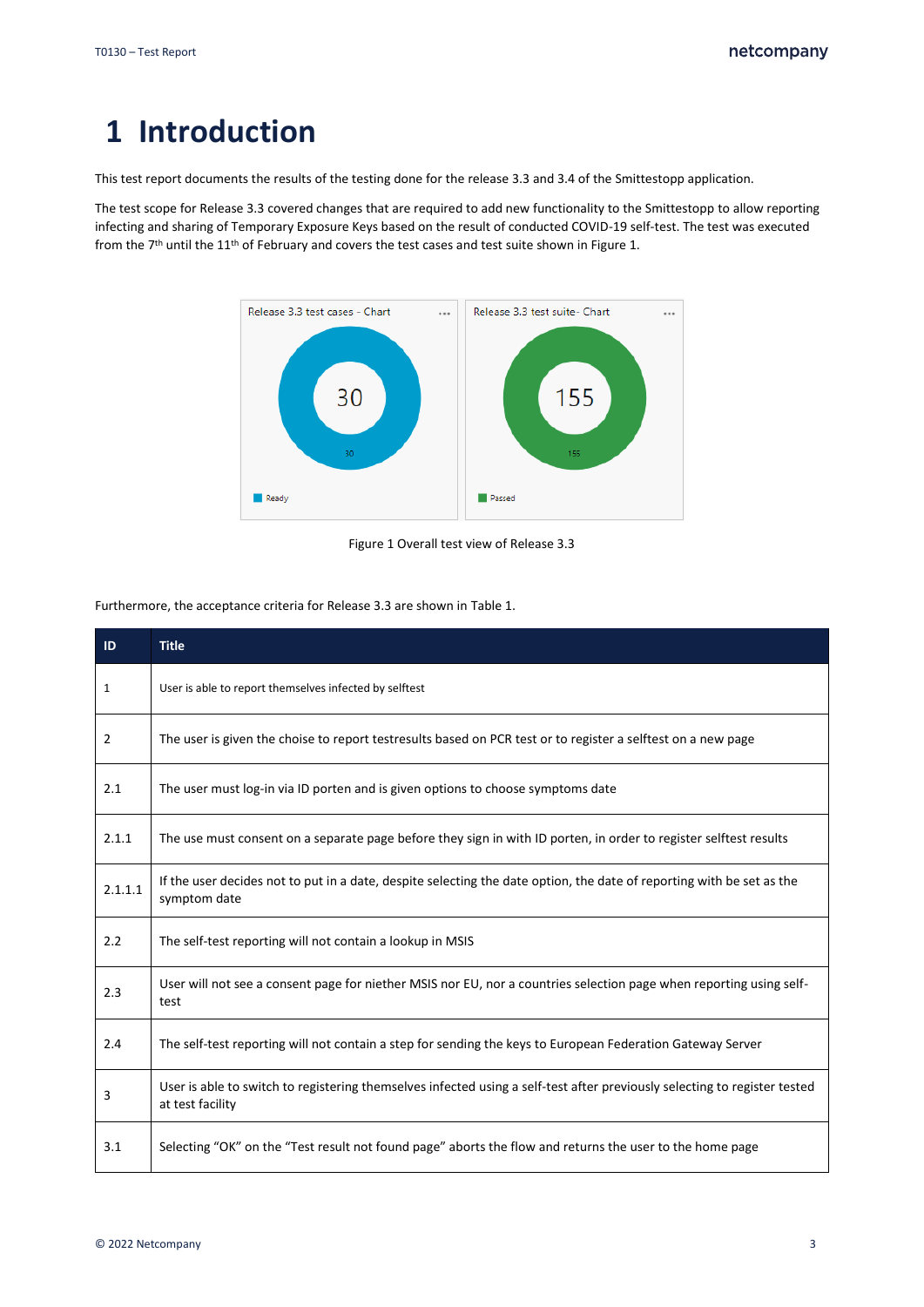# <span id="page-2-0"></span>**1 Introduction**

This test report documents the results of the testing done for the release 3.3 and 3.4 of the Smittestopp application.

The test scope for Release 3.3 covered changes that are required to add new functionality to the Smittestopp to allow reporting infecting and sharing of Temporary Exposure Keys based on the result of conducted COVID-19 self-test. The test was executed from the 7<sup>th</sup> until the 11<sup>th</sup> of February and covers the test cases and test suite shown in [Figure 1.](#page-2-1)



Figure 1 Overall test view of Release 3.3

<span id="page-2-1"></span>Furthermore, the acceptance criteria for Release 3.3 are shown i[n Table 1.](#page-3-0)

| ID             | <b>Title</b>                                                                                                                                  |
|----------------|-----------------------------------------------------------------------------------------------------------------------------------------------|
| 1              | User is able to report themselves infected by selftest                                                                                        |
| $\overline{2}$ | The user is given the choise to report testresults based on PCR test or to register a selftest on a new page                                  |
| 2.1            | The user must log-in via ID porten and is given options to choose symptoms date                                                               |
| 2.1.1          | The use must consent on a separate page before they sign in with ID porten, in order to register selftest results                             |
| 2.1.1.1        | If the user decides not to put in a date, despite selecting the date option, the date of reporting with be set as the<br>symptom date         |
| 2.2            | The self-test reporting will not contain a lookup in MSIS                                                                                     |
| 2.3            | User will not see a consent page for niether MSIS nor EU, nor a countries selection page when reporting using self-<br>test                   |
| 2.4            | The self-test reporting will not contain a step for sending the keys to European Federation Gateway Server                                    |
| 3              | User is able to switch to registering themselves infected using a self-test after previously selecting to register tested<br>at test facility |
| 3.1            | Selecting "OK" on the "Test result not found page" aborts the flow and returns the user to the home page                                      |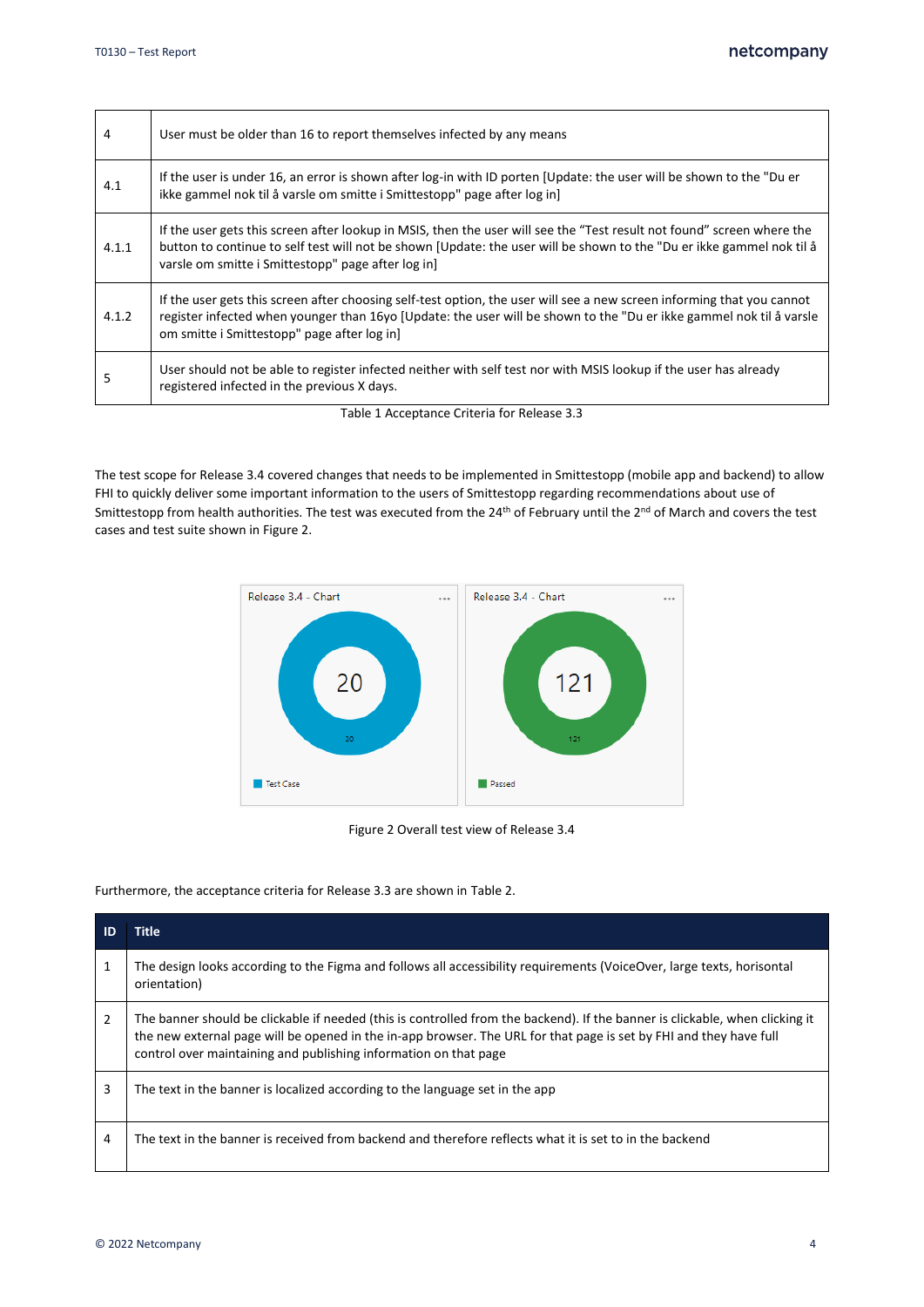| 4     | User must be older than 16 to report themselves infected by any means                                                                                                                                                                                                                                 |
|-------|-------------------------------------------------------------------------------------------------------------------------------------------------------------------------------------------------------------------------------------------------------------------------------------------------------|
| 4.1   | If the user is under 16, an error is shown after log-in with ID porten [Update: the user will be shown to the "Du er<br>ikke gammel nok til å varsle om smitte i Smittestopp" page after log in]                                                                                                      |
| 4.1.1 | If the user gets this screen after lookup in MSIS, then the user will see the "Test result not found" screen where the<br>button to continue to self test will not be shown [Update: the user will be shown to the "Du er ikke gammel nok til å<br>varsle om smitte i Smittestopp" page after log in] |
| 4.1.2 | If the user gets this screen after choosing self-test option, the user will see a new screen informing that you cannot<br>register infected when younger than 16yo [Update: the user will be shown to the "Du er ikke gammel nok til å varsle<br>om smitte i Smittestopp" page after log in]          |
| 5     | User should not be able to register infected neither with self test nor with MSIS lookup if the user has already<br>registered infected in the previous X days.                                                                                                                                       |

Table 1 Acceptance Criteria for Release 3.3

<span id="page-3-0"></span>The test scope for Release 3.4 covered changes that needs to be implemented in Smittestopp (mobile app and backend) to allow FHI to quickly deliver some important information to the users of Smittestopp regarding recommendations about use of Smittestopp from health authorities. The test was executed from the 24<sup>th</sup> of February until the 2<sup>nd</sup> of March and covers the test cases and test suite shown i[n Figure 2.](#page-3-1)



Figure 2 Overall test view of Release 3.4

<span id="page-3-1"></span>Furthermore, the acceptance criteria for Release 3.3 are shown i[n Table 2.](#page-4-1)

| ID | <b>Title</b>                                                                                                                                                                                                                                                                                                           |
|----|------------------------------------------------------------------------------------------------------------------------------------------------------------------------------------------------------------------------------------------------------------------------------------------------------------------------|
| 1  | The design looks according to the Figma and follows all accessibility requirements (VoiceOver, large texts, horisontal<br>orientation)                                                                                                                                                                                 |
| 2  | The banner should be clickable if needed (this is controlled from the backend). If the banner is clickable, when clicking it<br>the new external page will be opened in the in-app browser. The URL for that page is set by FHI and they have full<br>control over maintaining and publishing information on that page |
| 3  | The text in the banner is localized according to the language set in the app                                                                                                                                                                                                                                           |
| 4  | The text in the banner is received from backend and therefore reflects what it is set to in the backend                                                                                                                                                                                                                |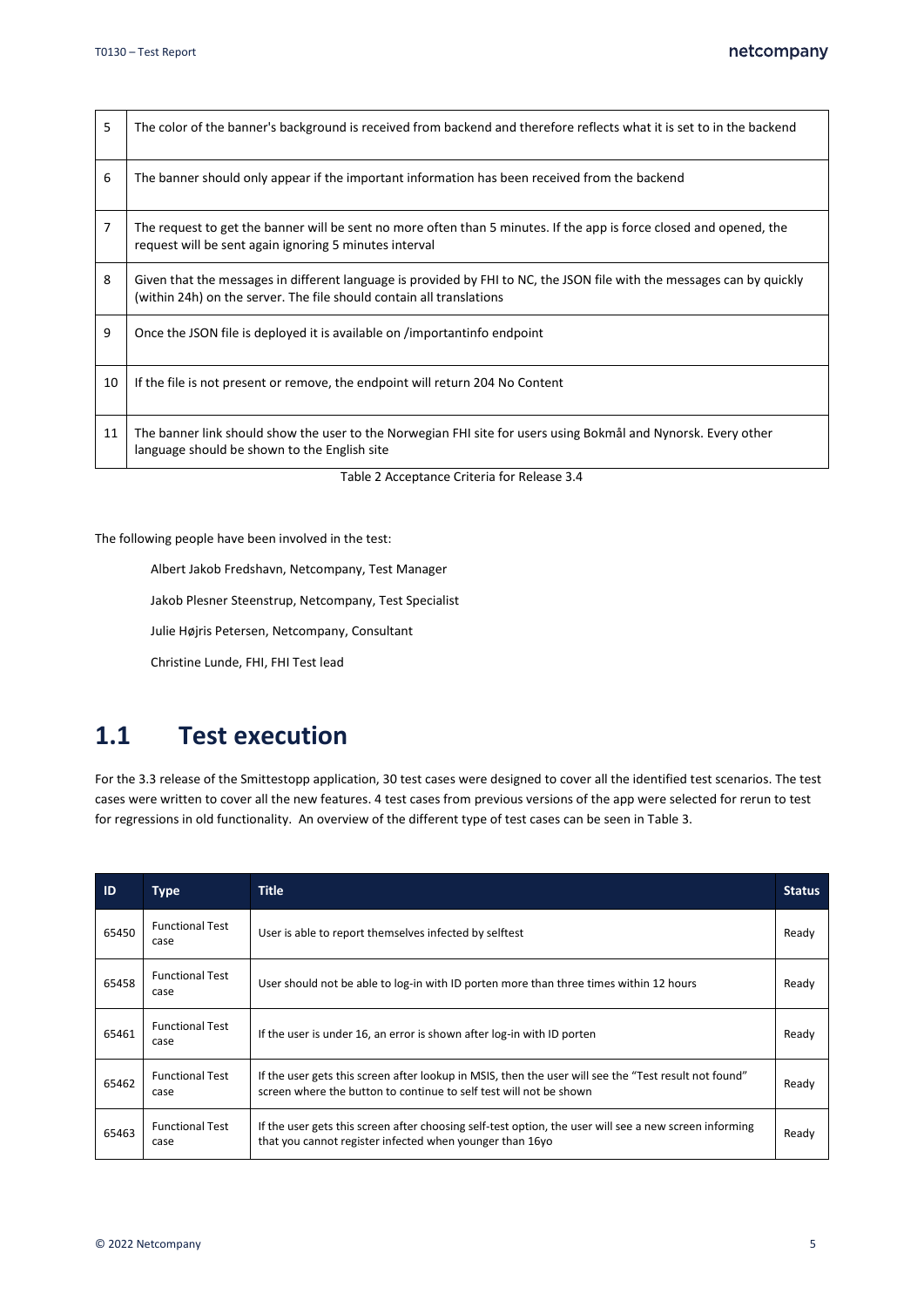| 5  | The color of the banner's background is received from backend and therefore reflects what it is set to in the backend                                                                          |
|----|------------------------------------------------------------------------------------------------------------------------------------------------------------------------------------------------|
| 6  | The banner should only appear if the important information has been received from the backend                                                                                                  |
| 7  | The request to get the banner will be sent no more often than 5 minutes. If the app is force closed and opened, the<br>request will be sent again ignoring 5 minutes interval                  |
| 8  | Given that the messages in different language is provided by FHI to NC, the JSON file with the messages can by quickly<br>(within 24h) on the server. The file should contain all translations |
| 9  | Once the JSON file is deployed it is available on /importantinfo endpoint                                                                                                                      |
| 10 | If the file is not present or remove, the endpoint will return 204 No Content                                                                                                                  |
| 11 | The banner link should show the user to the Norwegian FHI site for users using Bokmål and Nynorsk. Every other<br>language should be shown to the English site                                 |
|    | Table 2 Acceptance Criteria for Release 3.4                                                                                                                                                    |

<span id="page-4-1"></span>The following people have been involved in the test:

Albert Jakob Fredshavn, Netcompany, Test Manager

Jakob Plesner Steenstrup, Netcompany, Test Specialist

Julie Højris Petersen, Netcompany, Consultant

Christine Lunde, FHI, FHI Test lead

### <span id="page-4-0"></span>**1.1 Test execution**

For the 3.3 release of the Smittestopp application, 30 test cases were designed to cover all the identified test scenarios. The test cases were written to cover all the new features. 4 test cases from previous versions of the app were selected for rerun to test for regressions in old functionality. An overview of the different type of test cases can be seen in [Table 3.](#page-6-0)

| ID    | <b>Type</b>                    | <b>Title</b>                                                                                                                                                                | <b>Status</b> |
|-------|--------------------------------|-----------------------------------------------------------------------------------------------------------------------------------------------------------------------------|---------------|
| 65450 | <b>Functional Test</b><br>case | User is able to report themselves infected by selftest                                                                                                                      | Ready         |
| 65458 | <b>Functional Test</b><br>case | User should not be able to log-in with ID porten more than three times within 12 hours                                                                                      | Ready         |
| 65461 | <b>Functional Test</b><br>case | If the user is under 16, an error is shown after log-in with ID porten                                                                                                      | Ready         |
| 65462 | <b>Functional Test</b><br>case | If the user gets this screen after lookup in MSIS, then the user will see the "Test result not found"<br>screen where the button to continue to self test will not be shown | Ready         |
| 65463 | <b>Functional Test</b><br>case | If the user gets this screen after choosing self-test option, the user will see a new screen informing<br>that you cannot register infected when younger than 16yo          | Ready         |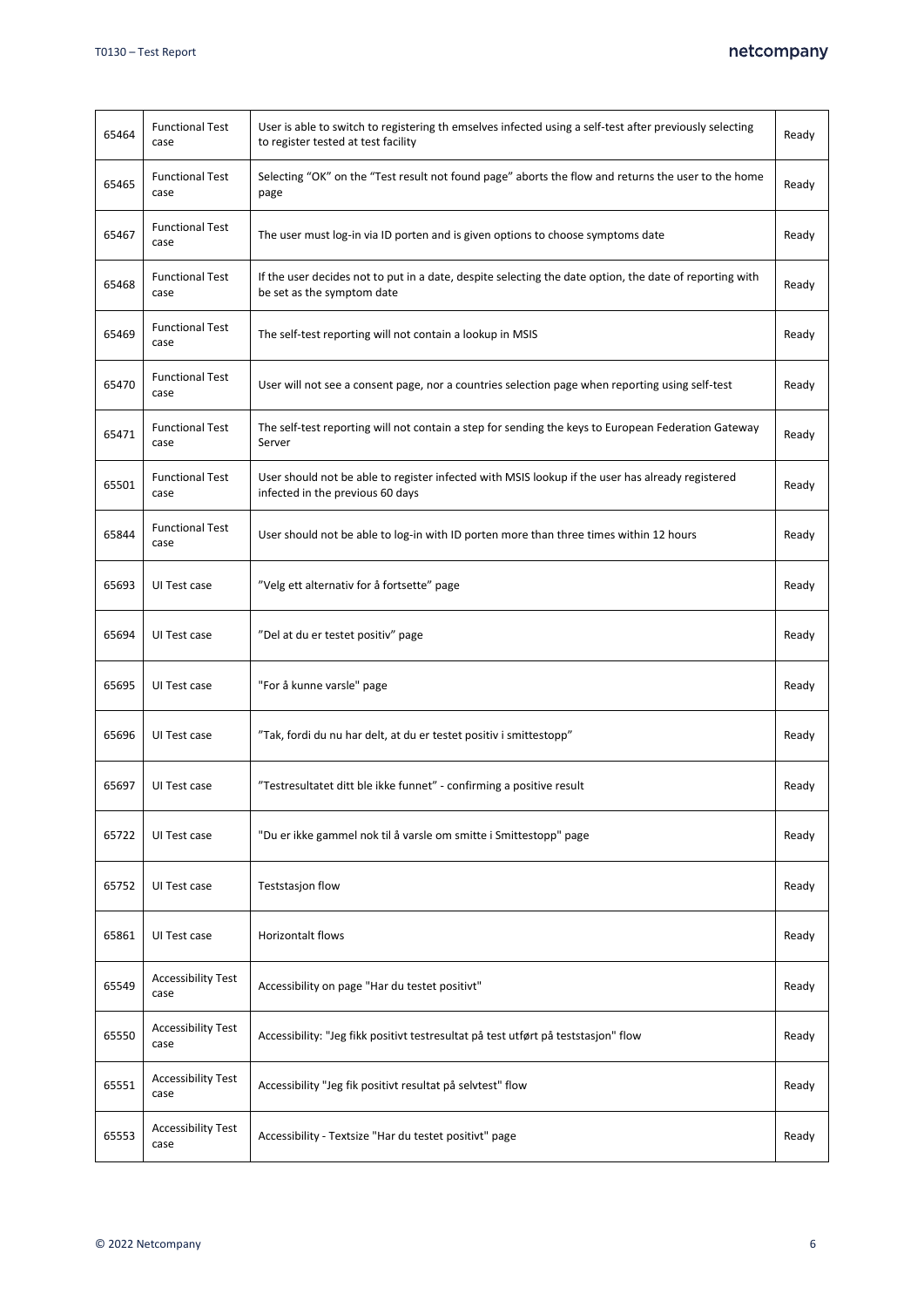#### netcompany

| 65464 | <b>Functional Test</b><br>case    | User is able to switch to registering th emselves infected using a self-test after previously selecting<br>to register tested at test facility | Ready |
|-------|-----------------------------------|------------------------------------------------------------------------------------------------------------------------------------------------|-------|
| 65465 | <b>Functional Test</b><br>case    | Selecting "OK" on the "Test result not found page" aborts the flow and returns the user to the home<br>page                                    | Ready |
| 65467 | <b>Functional Test</b><br>case    | The user must log-in via ID porten and is given options to choose symptoms date                                                                | Ready |
| 65468 | <b>Functional Test</b><br>case    | If the user decides not to put in a date, despite selecting the date option, the date of reporting with<br>be set as the symptom date          | Ready |
| 65469 | <b>Functional Test</b><br>case    | The self-test reporting will not contain a lookup in MSIS                                                                                      | Ready |
| 65470 | <b>Functional Test</b><br>case    | User will not see a consent page, nor a countries selection page when reporting using self-test                                                | Ready |
| 65471 | <b>Functional Test</b><br>case    | The self-test reporting will not contain a step for sending the keys to European Federation Gateway<br>Server                                  | Ready |
| 65501 | <b>Functional Test</b><br>case    | User should not be able to register infected with MSIS lookup if the user has already registered<br>infected in the previous 60 days           | Ready |
| 65844 | <b>Functional Test</b><br>case    | User should not be able to log-in with ID porten more than three times within 12 hours                                                         | Ready |
| 65693 | UI Test case                      | "Velg ett alternativ for å fortsette" page                                                                                                     | Ready |
| 65694 | UI Test case                      | "Del at du er testet positiv" page                                                                                                             | Ready |
| 65695 | UI Test case                      | "For å kunne varsle" page                                                                                                                      | Ready |
| 65696 | UI Test case                      | "Tak, fordi du nu har delt, at du er testet positiv i smittestopp"                                                                             | Ready |
| 65697 | UI Test case                      | "Testresultatet ditt ble ikke funnet" - confirming a positive result                                                                           | Ready |
| 65722 | UI Test case                      | "Du er ikke gammel nok til å varsle om smitte i Smittestopp" page                                                                              | Ready |
| 65752 | UI Test case                      | Teststasjon flow                                                                                                                               | Ready |
| 65861 | UI Test case                      | Horizontalt flows                                                                                                                              | Ready |
| 65549 | <b>Accessibility Test</b><br>case | Accessibility on page "Har du testet positivt"                                                                                                 | Ready |
| 65550 | <b>Accessibility Test</b><br>case | Accessibility: "Jeg fikk positivt testresultat på test utført på teststasjon" flow                                                             | Ready |
| 65551 | <b>Accessibility Test</b><br>case | Accessibility "Jeg fik positivt resultat på selvtest" flow                                                                                     | Ready |
| 65553 | <b>Accessibility Test</b><br>case | Accessibility - Textsize "Har du testet positivt" page                                                                                         | Ready |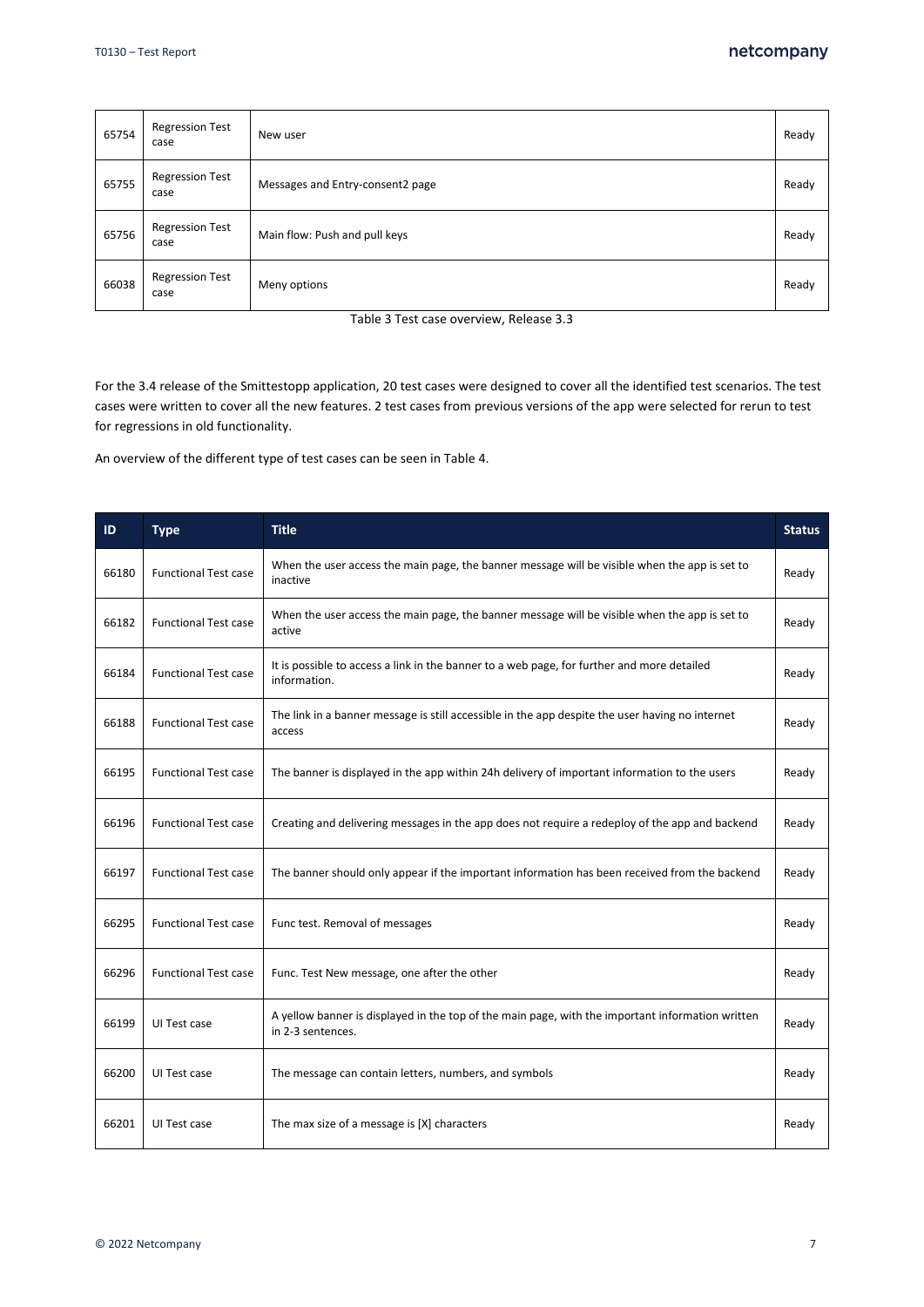| 65754 | <b>Regression Test</b><br>case | New user                         | Ready |
|-------|--------------------------------|----------------------------------|-------|
| 65755 | <b>Regression Test</b><br>case | Messages and Entry-consent2 page | Ready |
| 65756 | <b>Regression Test</b><br>case | Main flow: Push and pull keys    | Ready |
| 66038 | <b>Regression Test</b><br>case | Meny options                     | Ready |

Table 3 Test case overview, Release 3.3

<span id="page-6-0"></span>For the 3.4 release of the Smittestopp application, 20 test cases were designed to cover all the identified test scenarios. The test cases were written to cover all the new features. 2 test cases from previous versions of the app were selected for rerun to test for regressions in old functionality.

An overview of the different type of test cases can be seen i[n Table 4.](#page-7-1)

| ID    | <b>Type</b>                 | <b>Title</b>                                                                                                          | <b>Status</b> |
|-------|-----------------------------|-----------------------------------------------------------------------------------------------------------------------|---------------|
| 66180 | <b>Functional Test case</b> | When the user access the main page, the banner message will be visible when the app is set to<br>inactive             | Ready         |
| 66182 | <b>Functional Test case</b> | When the user access the main page, the banner message will be visible when the app is set to<br>active               | Ready         |
| 66184 | <b>Functional Test case</b> | It is possible to access a link in the banner to a web page, for further and more detailed<br>information.            | Ready         |
| 66188 | <b>Functional Test case</b> | The link in a banner message is still accessible in the app despite the user having no internet<br>access             | Ready         |
| 66195 | <b>Functional Test case</b> | The banner is displayed in the app within 24h delivery of important information to the users                          | Ready         |
| 66196 | <b>Functional Test case</b> | Creating and delivering messages in the app does not require a redeploy of the app and backend                        | Ready         |
| 66197 | <b>Functional Test case</b> | The banner should only appear if the important information has been received from the backend                         | Ready         |
| 66295 | <b>Functional Test case</b> | Func test. Removal of messages                                                                                        | Ready         |
| 66296 | <b>Functional Test case</b> | Func. Test New message, one after the other                                                                           | Ready         |
| 66199 | UI Test case                | A yellow banner is displayed in the top of the main page, with the important information written<br>in 2-3 sentences. | Ready         |
| 66200 | UI Test case                | The message can contain letters, numbers, and symbols                                                                 | Ready         |
| 66201 | UI Test case                | The max size of a message is [X] characters                                                                           | Ready         |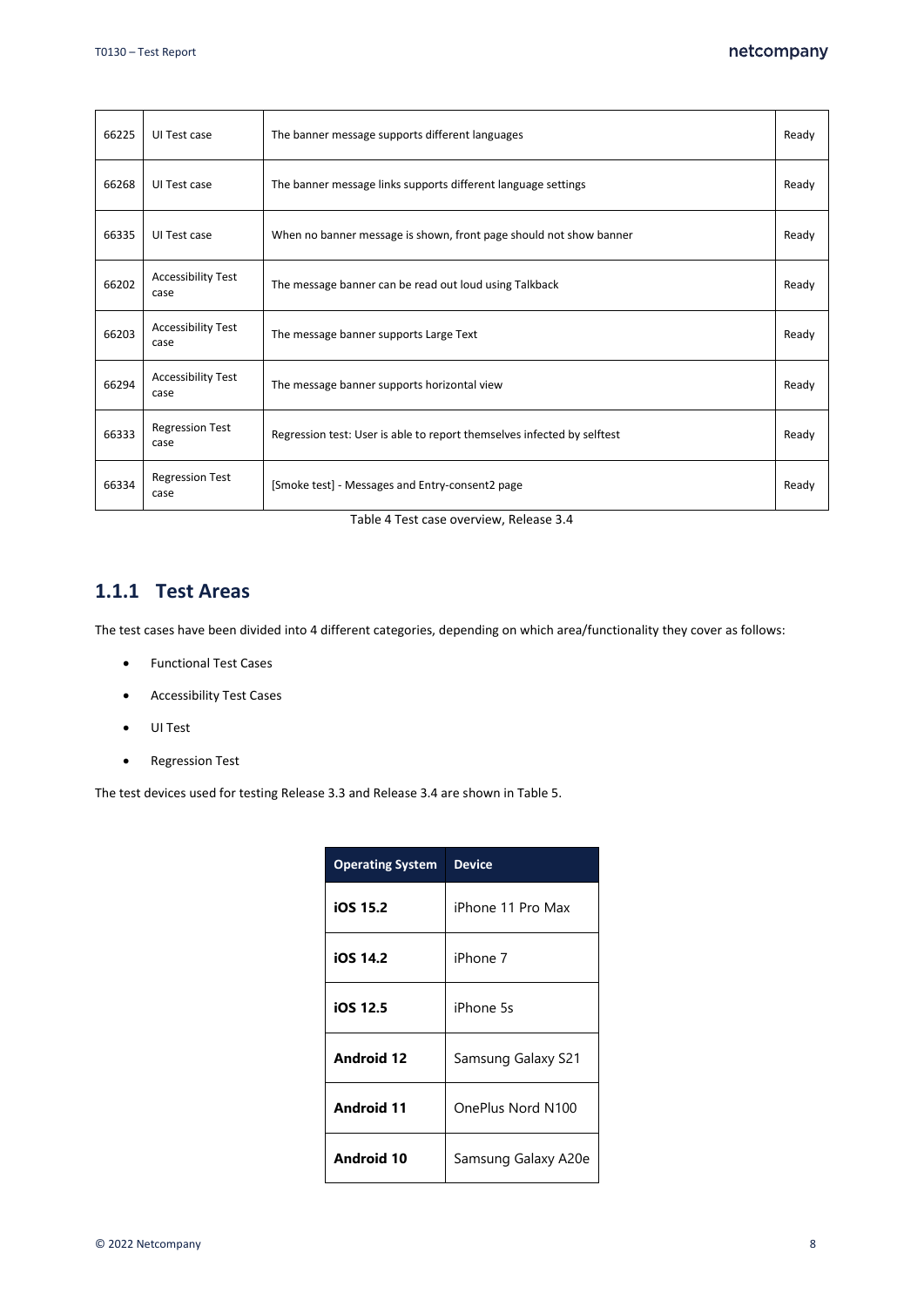| 66225 | UI Test case                      | The banner message supports different languages                         | Ready |
|-------|-----------------------------------|-------------------------------------------------------------------------|-------|
| 66268 | UI Test case                      | The banner message links supports different language settings           | Ready |
| 66335 | UI Test case                      | When no banner message is shown, front page should not show banner      | Ready |
| 66202 | <b>Accessibility Test</b><br>case | The message banner can be read out loud using Talkback                  | Ready |
| 66203 | <b>Accessibility Test</b><br>case | The message banner supports Large Text                                  | Ready |
| 66294 | <b>Accessibility Test</b><br>case | The message banner supports horizontal view                             | Ready |
| 66333 | <b>Regression Test</b><br>case    | Regression test: User is able to report themselves infected by selftest | Ready |
| 66334 | <b>Regression Test</b><br>case    | [Smoke test] - Messages and Entry-consent2 page                         | Ready |

Table 4 Test case overview, Release 3.4

#### <span id="page-7-1"></span><span id="page-7-0"></span>**1.1.1 Test Areas**

The test cases have been divided into 4 different categories, depending on which area/functionality they cover as follows:

- Functional Test Cases
- Accessibility Test Cases
- UI Test
- Regression Test

The test devices used for testing Release 3.3 and Release 3.4 are shown i[n Table 5.](#page-8-5)

| <b>Operating System</b> | <b>Device</b>       |
|-------------------------|---------------------|
| iOS 15.2                | iPhone 11 Pro Max   |
| iOS 14.2                | iPhone 7            |
| iOS 12.5                | iPhone 5s           |
| <b>Android 12</b>       | Samsung Galaxy S21  |
| <b>Android 11</b>       | OnePlus Nord N100   |
| Android 10              | Samsung Galaxy A20e |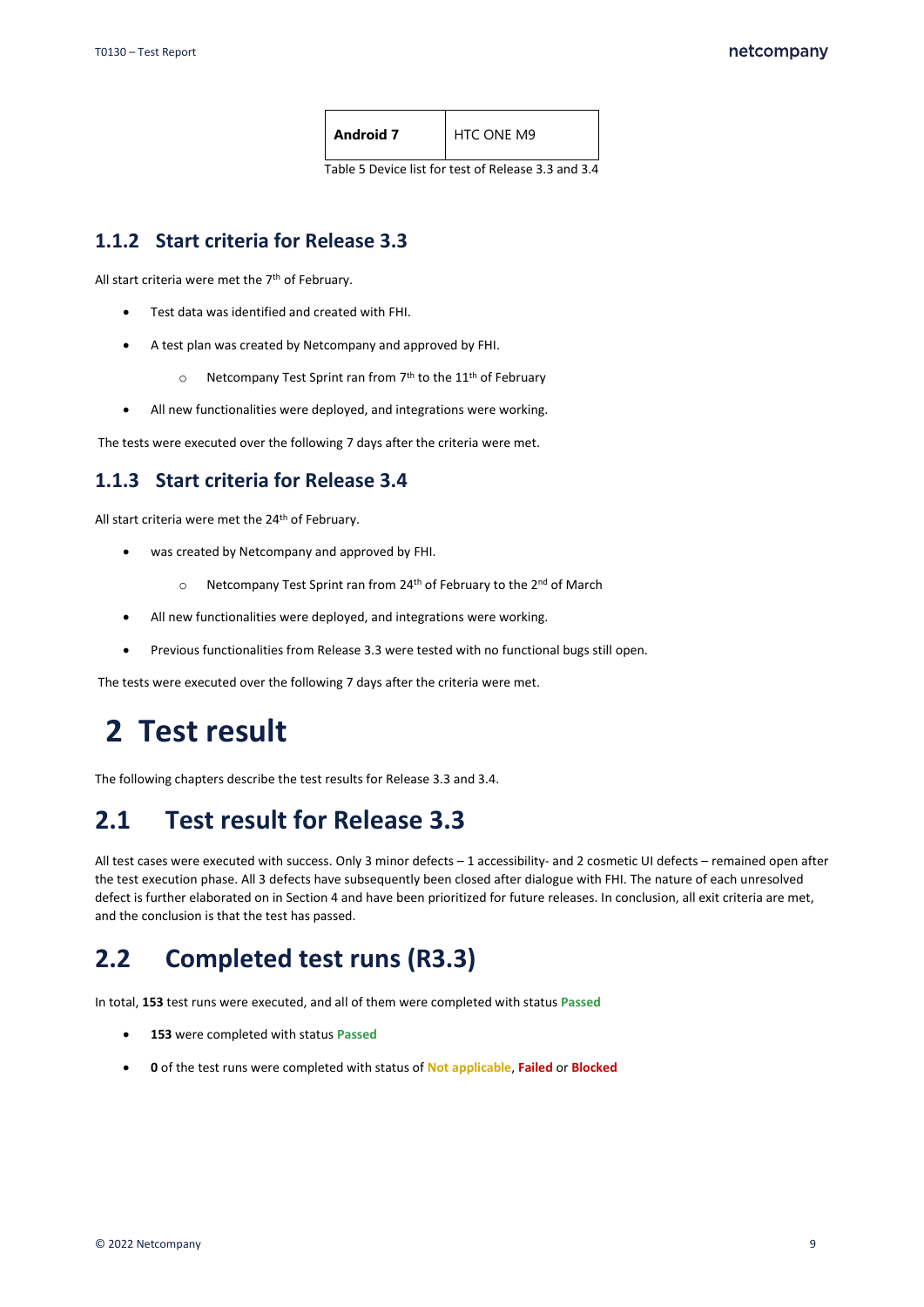| <b>Android 7</b> | <b>HTC ONE M9</b> |
|------------------|-------------------|
|                  |                   |

Table 5 Device list for test of Release 3.3 and 3.4

#### <span id="page-8-5"></span><span id="page-8-0"></span>**1.1.2 Start criteria for Release 3.3**

All start criteria were met the 7<sup>th</sup> of February.

- Test data was identified and created with FHI.
- A test plan was created by Netcompany and approved by FHI.
	- $\circ$  Netcompany Test Sprint ran from 7<sup>th</sup> to the 11<sup>th</sup> of February
- All new functionalities were deployed, and integrations were working.

The tests were executed over the following 7 days after the criteria were met.

#### <span id="page-8-1"></span>**1.1.3 Start criteria for Release 3.4**

All start criteria were met the 24<sup>th</sup> of February.

- was created by Netcompany and approved by FHI.
	- o Netcompany Test Sprint ran from 24<sup>th</sup> of February to the 2<sup>nd</sup> of March
- All new functionalities were deployed, and integrations were working.
- Previous functionalities from Release 3.3 were tested with no functional bugs still open.

The tests were executed over the following 7 days after the criteria were met.

# <span id="page-8-2"></span>**2 Test result**

The following chapters describe the test results for Release 3.3 and 3.4.

### <span id="page-8-3"></span>**2.1 Test result for Release 3.3**

All test cases were executed with success. Only 3 minor defects – 1 accessibility- and 2 cosmetic UI defects – remained open after the test execution phase. All 3 defects have subsequently been closed after dialogue with FHI. The nature of each unresolved defect is further elaborated on in Sectio[n 4](#page-12-0) and have been prioritized for future releases. In conclusion, all exit criteria are met, and the conclusion is that the test has passed.

### <span id="page-8-4"></span>**2.2 Completed test runs (R3.3)**

In total, **153** test runs were executed, and all of them were completed with status **Passed**

- **153** were completed with status **Passed**
- **0** of the test runs were completed with status of **Not applicable**, **Failed** or **Blocked**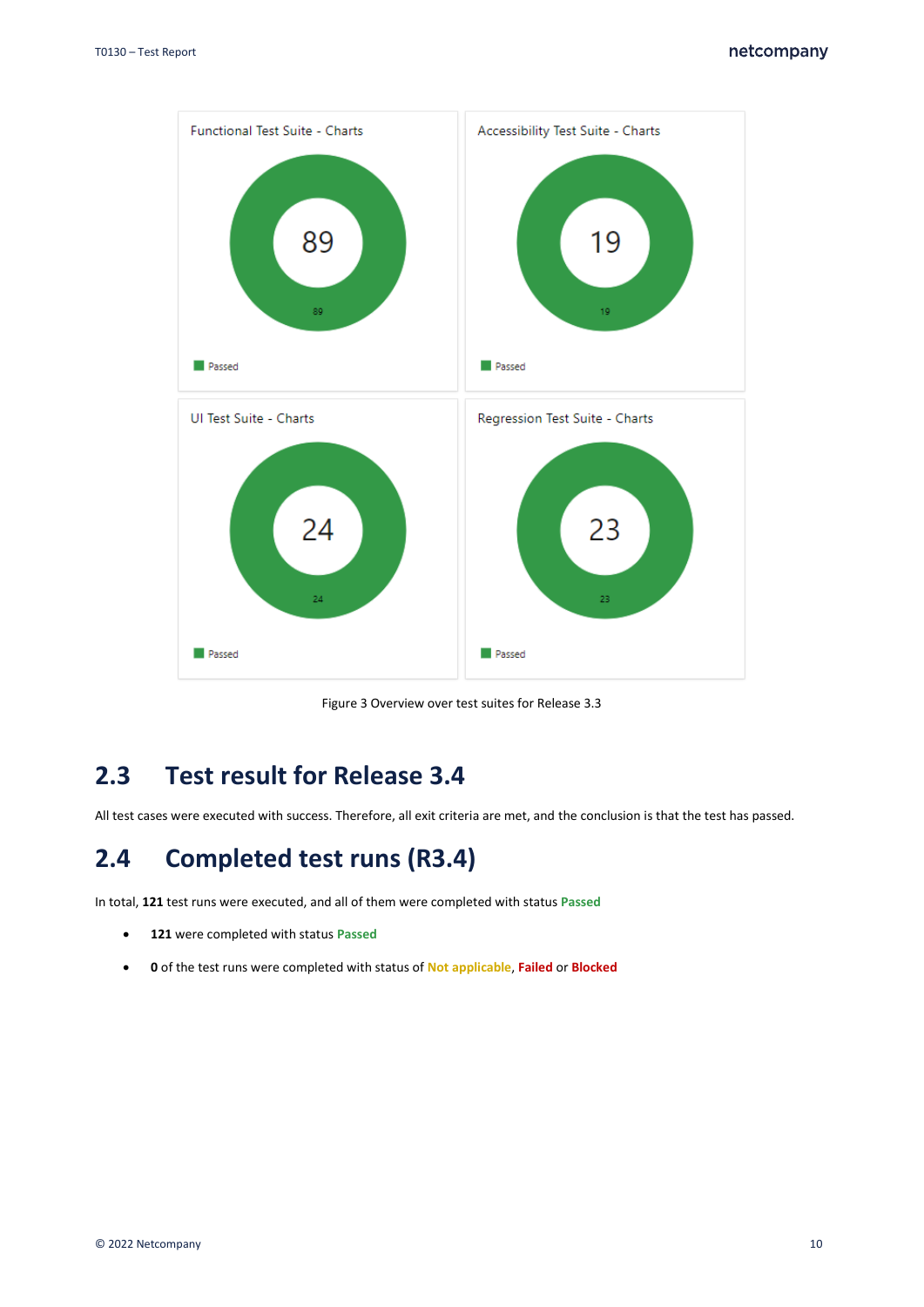

Figure 3 Overview over test suites for Release 3.3

### <span id="page-9-0"></span>**2.3 Test result for Release 3.4**

All test cases were executed with success. Therefore, all exit criteria are met, and the conclusion is that the test has passed.

### <span id="page-9-1"></span>**2.4 Completed test runs (R3.4)**

In total, **121** test runs were executed, and all of them were completed with status **Passed**

- **121** were completed with status **Passed**
- **0** of the test runs were completed with status of **Not applicable**, **Failed** or **Blocked**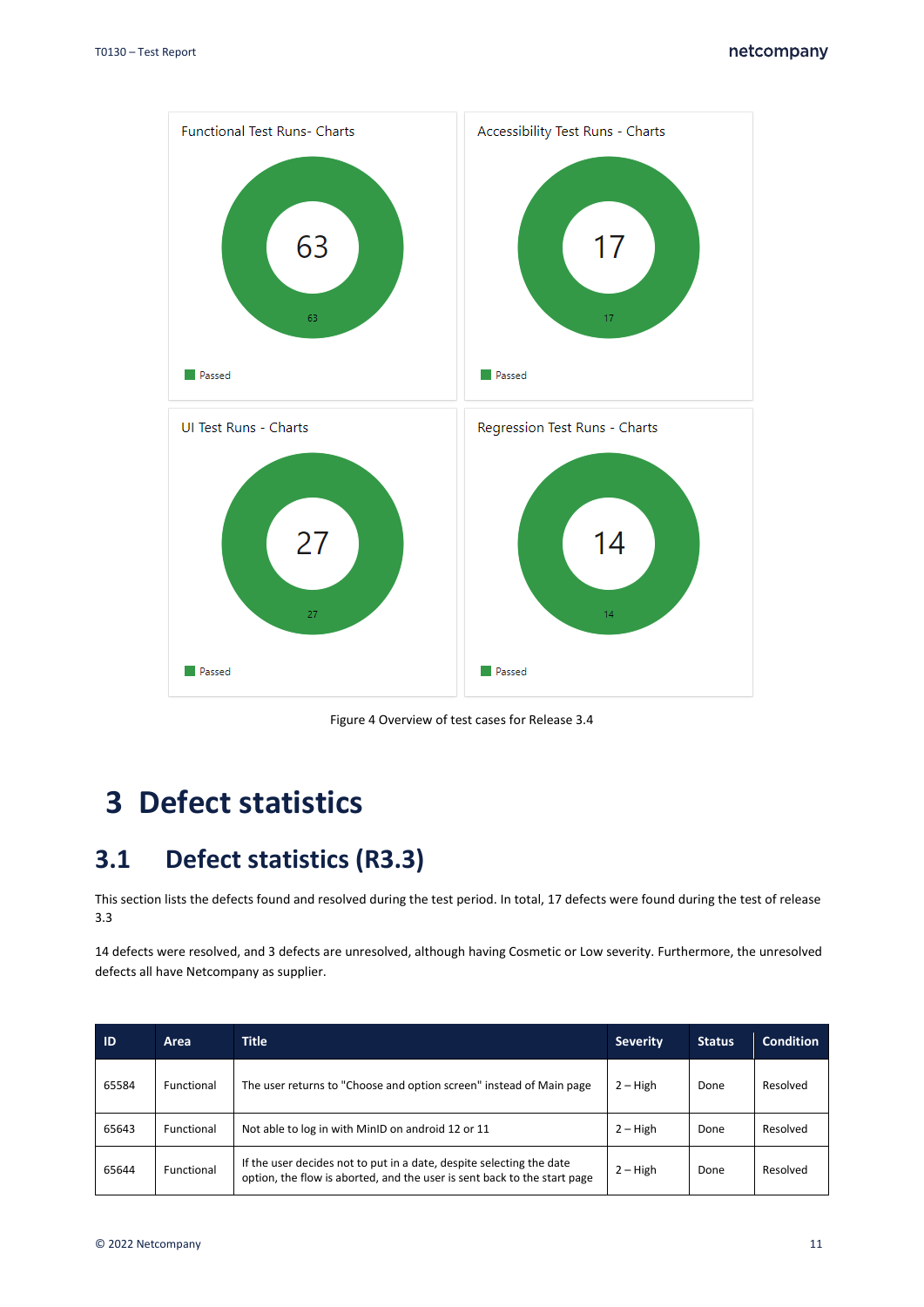

Figure 4 Overview of test cases for Release 3.4

# <span id="page-10-0"></span>**3 Defect statistics**

### <span id="page-10-1"></span>**3.1 Defect statistics (R3.3)**

This section lists the defects found and resolved during the test period. In total, 17 defects were found during the test of release 3.3

14 defects were resolved, and 3 defects are unresolved, although having Cosmetic or Low severity. Furthermore, the unresolved defects all have Netcompany as supplier.

| ID    | Area       | <b>Title</b>                                                                                                                                     | <b>Severity</b> | <b>Status</b> | <b>Condition</b> |
|-------|------------|--------------------------------------------------------------------------------------------------------------------------------------------------|-----------------|---------------|------------------|
| 65584 | Functional | The user returns to "Choose and option screen" instead of Main page                                                                              | $2 - High$      | Done          | Resolved         |
| 65643 | Functional | Not able to log in with MinID on android 12 or 11                                                                                                | $2 - High$      | Done          | Resolved         |
| 65644 | Functional | If the user decides not to put in a date, despite selecting the date<br>option, the flow is aborted, and the user is sent back to the start page | $2 - High$      | Done          | Resolved         |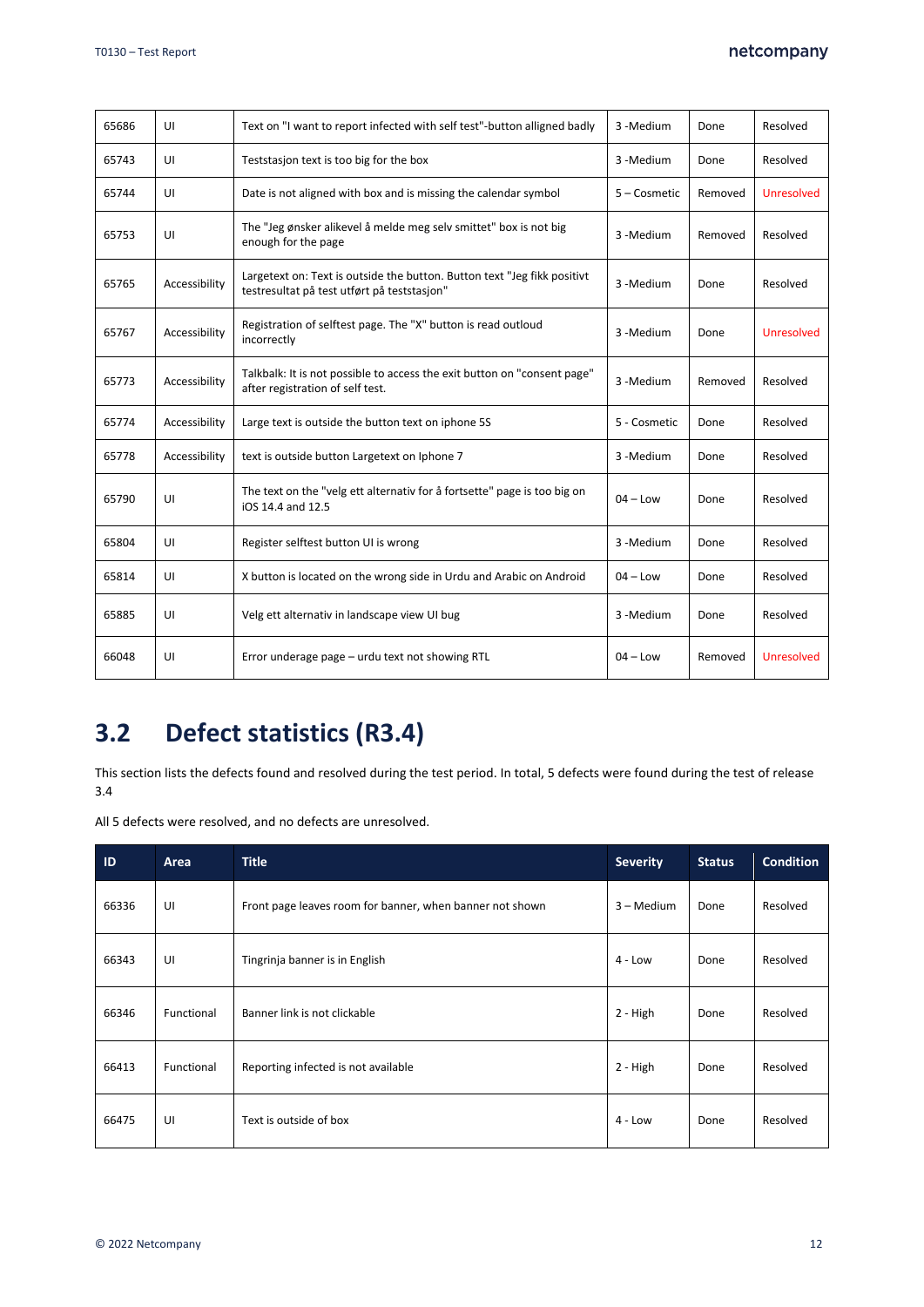| 65686 | UI            | Text on "I want to report infected with self test"-button alligned badly                                                | 3 - Medium            | Done    | Resolved          |
|-------|---------------|-------------------------------------------------------------------------------------------------------------------------|-----------------------|---------|-------------------|
| 65743 | UI            | Teststasjon text is too big for the box                                                                                 | 3 - Medium            | Done    | Resolved          |
| 65744 | UI            | Date is not aligned with box and is missing the calendar symbol                                                         | 5 – Cosmetic          | Removed | Unresolved        |
| 65753 | UI            | The "Jeg ønsker alikevel å melde meg selv smittet" box is not big<br>enough for the page                                | 3 - Medium            | Removed | Resolved          |
| 65765 | Accessibility | Largetext on: Text is outside the button. Button text "Jeg fikk positivt<br>testresultat på test utført på teststasjon" | 3 - Medium            | Done    | Resolved          |
| 65767 | Accessibility | Registration of selftest page. The "X" button is read outloud<br>incorrectly                                            | 3-Medium              | Done    | <b>Unresolved</b> |
| 65773 | Accessibility | Talkbalk: It is not possible to access the exit button on "consent page"<br>after registration of self test.            | 3-Medium              | Removed | Resolved          |
| 65774 | Accessibility | Large text is outside the button text on iphone 5S                                                                      | 5 - Cosmetic          | Done    | Resolved          |
| 65778 | Accessibility | text is outside button Largetext on Iphone 7                                                                            | 3 -Medium             | Done    | Resolved          |
| 65790 | UI            | The text on the "velg ett alternativ for å fortsette" page is too big on<br>iOS 14.4 and 12.5                           | $04 - Low$            | Done    | Resolved          |
| 65804 | UI            | Register selftest button UI is wrong                                                                                    | 3 - Medium            | Done    | Resolved          |
| 65814 | UI            | X button is located on the wrong side in Urdu and Arabic on Android                                                     | $04 - Low$            | Done    | Resolved          |
| 65885 | UI            | Velg ett alternativ in landscape view UI bug                                                                            | 3 - Medium            | Done    | Resolved          |
| 66048 | UI            | Error underage page - urdu text not showing RTL                                                                         | $04 - Low$<br>Removed |         | <b>Unresolved</b> |

### <span id="page-11-0"></span>**3.2 Defect statistics (R3.4)**

This section lists the defects found and resolved during the test period. In total, 5 defects were found during the test of release 3.4

All 5 defects were resolved, and no defects are unresolved.

| ID    | Area       | <b>Title</b>                                             | <b>Severity</b> | <b>Status</b> | <b>Condition</b> |
|-------|------------|----------------------------------------------------------|-----------------|---------------|------------------|
| 66336 | UI         | Front page leaves room for banner, when banner not shown | 3 – Medium      | Done          | Resolved         |
| 66343 | UI         | Tingrinja banner is in English                           | $4 - Low$       | Done          | Resolved         |
| 66346 | Functional | Banner link is not clickable                             | 2 - High        | Done          | Resolved         |
| 66413 | Functional | Reporting infected is not available                      | 2 - High        | Done          | Resolved         |
| 66475 | UI         | Text is outside of box                                   | $4 - Low$       | Done          | Resolved         |